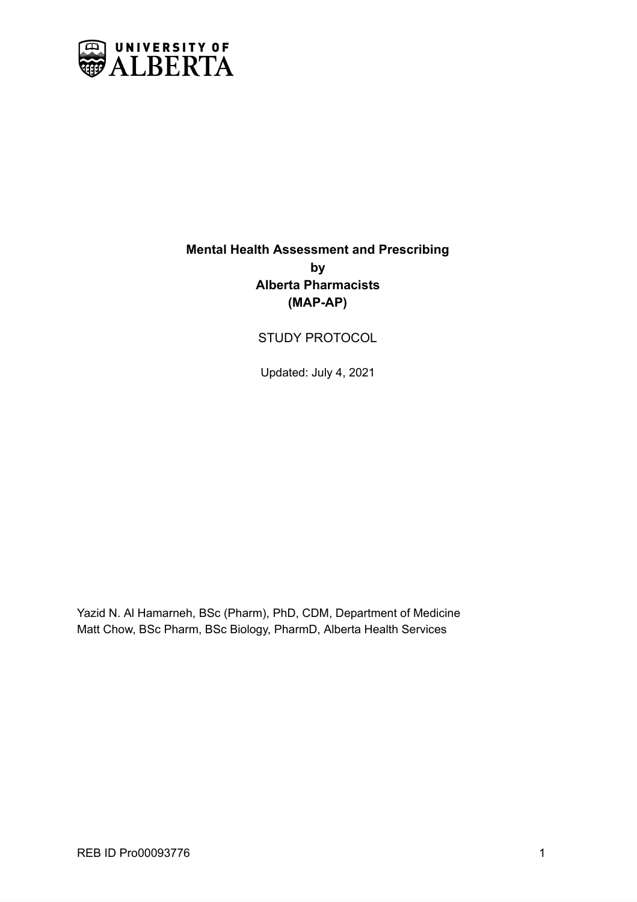

# **Mental Health Assessment and Prescribing by Alberta Pharmacists (MAP-AP)**

# STUDY PROTOCOL

Updated: July 4, 2021

Yazid N. Al Hamarneh, BSc (Pharm), PhD, CDM, Department of Medicine Matt Chow, BSc Pharm, BSc Biology, PharmD, Alberta Health Services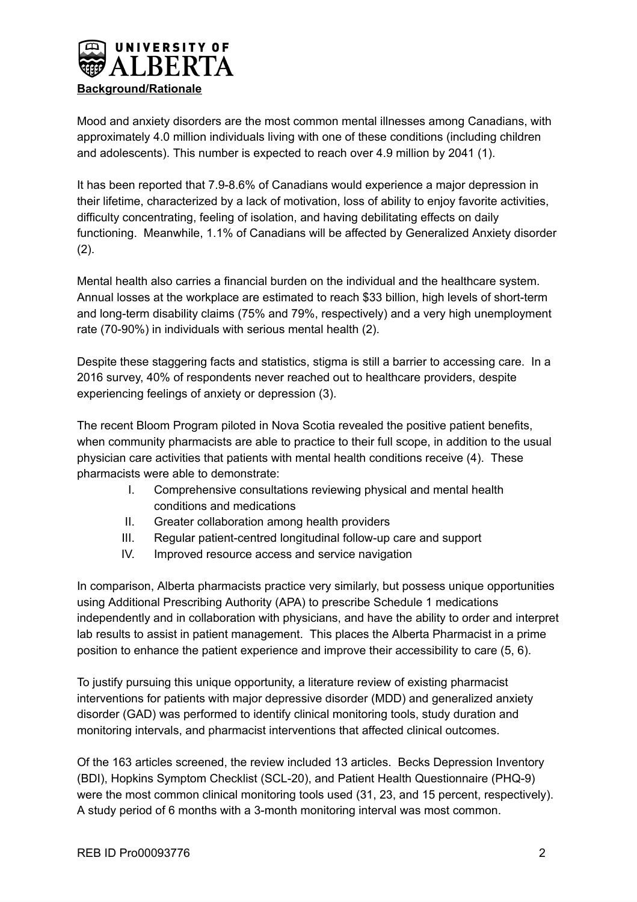

Mood and anxiety disorders are the most common mental illnesses among Canadians, with approximately 4.0 million individuals living with one of these conditions (including children and adolescents). This number is expected to reach over 4.9 million by 2041 (1).

It has been reported that 7.9-8.6% of Canadians would experience a major depression in their lifetime, characterized by a lack of motivation, loss of ability to enjoy favorite activities, difficulty concentrating, feeling of isolation, and having debilitating effects on daily functioning. Meanwhile, 1.1% of Canadians will be affected by Generalized Anxiety disorder  $(2)$ .

Mental health also carries a financial burden on the individual and the healthcare system. Annual losses at the workplace are estimated to reach \$33 billion, high levels of short-term and long-term disability claims (75% and 79%, respectively) and a very high unemployment rate (70-90%) in individuals with serious mental health (2).

Despite these staggering facts and statistics, stigma is still a barrier to accessing care. In a 2016 survey, 40% of respondents never reached out to healthcare providers, despite experiencing feelings of anxiety or depression (3).

The recent Bloom Program piloted in Nova Scotia revealed the positive patient benefits, when community pharmacists are able to practice to their full scope, in addition to the usual physician care activities that patients with mental health conditions receive (4). These pharmacists were able to demonstrate:

- I. Comprehensive consultations reviewing physical and mental health conditions and medications
- II. Greater collaboration among health providers
- III. Regular patient-centred longitudinal follow-up care and support
- IV. Improved resource access and service navigation

In comparison, Alberta pharmacists practice very similarly, but possess unique opportunities using Additional Prescribing Authority (APA) to prescribe Schedule 1 medications independently and in collaboration with physicians, and have the ability to order and interpret lab results to assist in patient management. This places the Alberta Pharmacist in a prime position to enhance the patient experience and improve their accessibility to care (5, 6).

To justify pursuing this unique opportunity, a literature review of existing pharmacist interventions for patients with major depressive disorder (MDD) and generalized anxiety disorder (GAD) was performed to identify clinical monitoring tools, study duration and monitoring intervals, and pharmacist interventions that affected clinical outcomes.

Of the 163 articles screened, the review included 13 articles. Becks Depression Inventory (BDI), Hopkins Symptom Checklist (SCL-20), and Patient Health Questionnaire (PHQ-9) were the most common clinical monitoring tools used (31, 23, and 15 percent, respectively). A study period of 6 months with a 3-month monitoring interval was most common.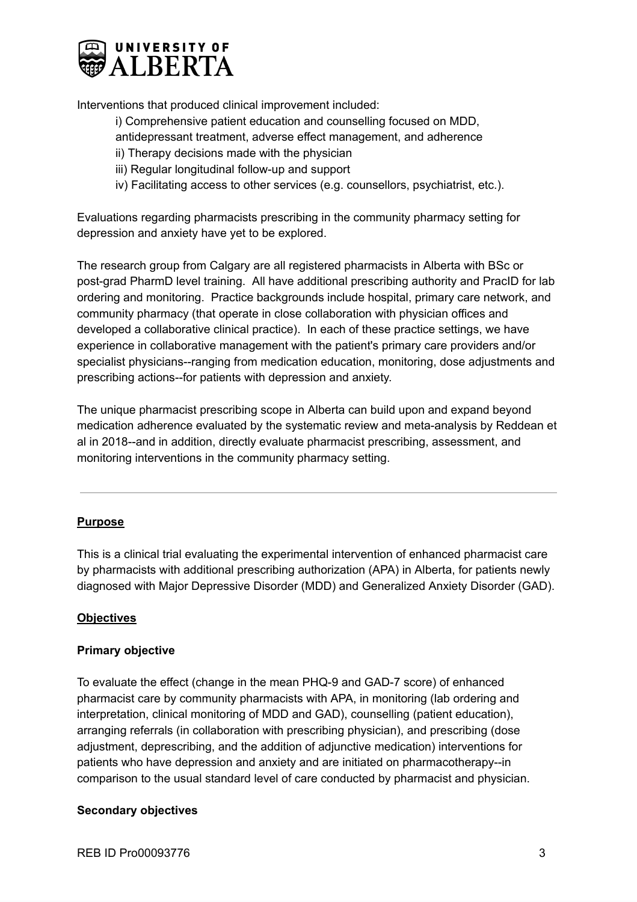

Interventions that produced clinical improvement included:

i) Comprehensive patient education and counselling focused on MDD,

- antidepressant treatment, adverse effect management, and adherence
- ii) Therapy decisions made with the physician
- iii) Regular longitudinal follow-up and support
- iv) Facilitating access to other services (e.g. counsellors, psychiatrist, etc.).

Evaluations regarding pharmacists prescribing in the community pharmacy setting for depression and anxiety have yet to be explored.

The research group from Calgary are all registered pharmacists in Alberta with BSc or post-grad PharmD level training. All have additional prescribing authority and PracID for lab ordering and monitoring. Practice backgrounds include hospital, primary care network, and community pharmacy (that operate in close collaboration with physician offices and developed a collaborative clinical practice). In each of these practice settings, we have experience in collaborative management with the patient's primary care providers and/or specialist physicians--ranging from medication education, monitoring, dose adjustments and prescribing actions--for patients with depression and anxiety.

The unique pharmacist prescribing scope in Alberta can build upon and expand beyond medication adherence evaluated by the systematic review and meta-analysis by Reddean et al in 2018--and in addition, directly evaluate pharmacist prescribing, assessment, and monitoring interventions in the community pharmacy setting.

## **Purpose**

This is a clinical trial evaluating the experimental intervention of enhanced pharmacist care by pharmacists with additional prescribing authorization (APA) in Alberta, for patients newly diagnosed with Major Depressive Disorder (MDD) and Generalized Anxiety Disorder (GAD).

## **Objectives**

## **Primary objective**

To evaluate the effect (change in the mean PHQ-9 and GAD-7 score) of enhanced pharmacist care by community pharmacists with APA, in monitoring (lab ordering and interpretation, clinical monitoring of MDD and GAD), counselling (patient education), arranging referrals (in collaboration with prescribing physician), and prescribing (dose adjustment, deprescribing, and the addition of adjunctive medication) interventions for patients who have depression and anxiety and are initiated on pharmacotherapy--in comparison to the usual standard level of care conducted by pharmacist and physician.

## **Secondary objectives**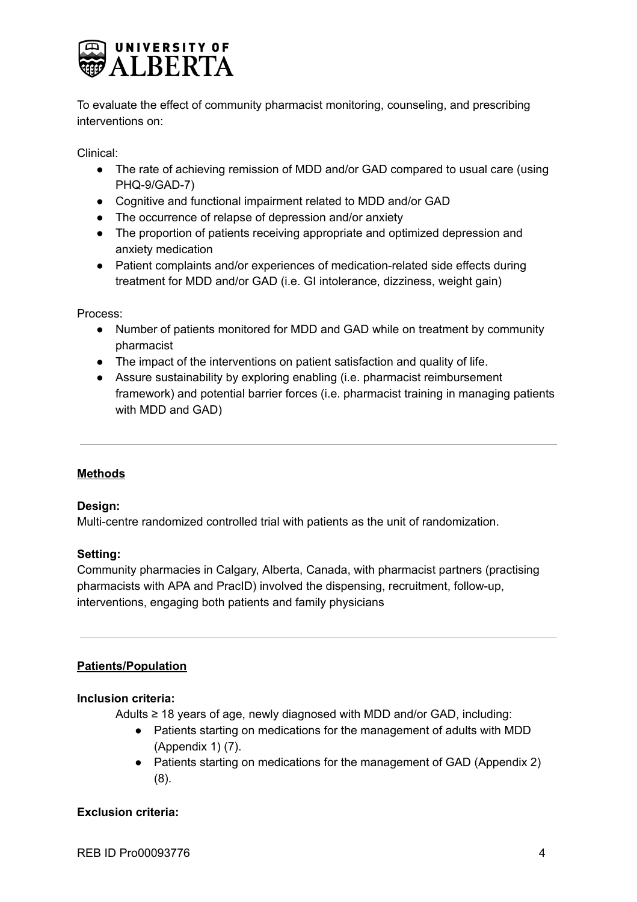

To evaluate the effect of community pharmacist monitoring, counseling, and prescribing interventions on:

Clinical:

- The rate of achieving remission of MDD and/or GAD compared to usual care (using PHQ-9/GAD-7)
- Cognitive and functional impairment related to MDD and/or GAD
- The occurrence of relapse of depression and/or anxiety
- The proportion of patients receiving appropriate and optimized depression and anxiety medication
- Patient complaints and/or experiences of medication-related side effects during treatment for MDD and/or GAD (i.e. GI intolerance, dizziness, weight gain)

Process:

- Number of patients monitored for MDD and GAD while on treatment by community pharmacist
- The impact of the interventions on patient satisfaction and quality of life.
- Assure sustainability by exploring enabling (i.e. pharmacist reimbursement framework) and potential barrier forces (i.e. pharmacist training in managing patients with MDD and GAD)

## **Methods**

## **Design:**

Multi-centre randomized controlled trial with patients as the unit of randomization.

## **Setting:**

Community pharmacies in Calgary, Alberta, Canada, with pharmacist partners (practising pharmacists with APA and PracID) involved the dispensing, recruitment, follow-up, interventions, engaging both patients and family physicians

## **Patients/Population**

## **Inclusion criteria:**

Adults ≥ 18 years of age, newly diagnosed with MDD and/or GAD, including:

- Patients starting on medications for the management of adults with MDD (Appendix 1) (7).
- Patients starting on medications for the management of GAD (Appendix 2) (8).

## **Exclusion criteria:**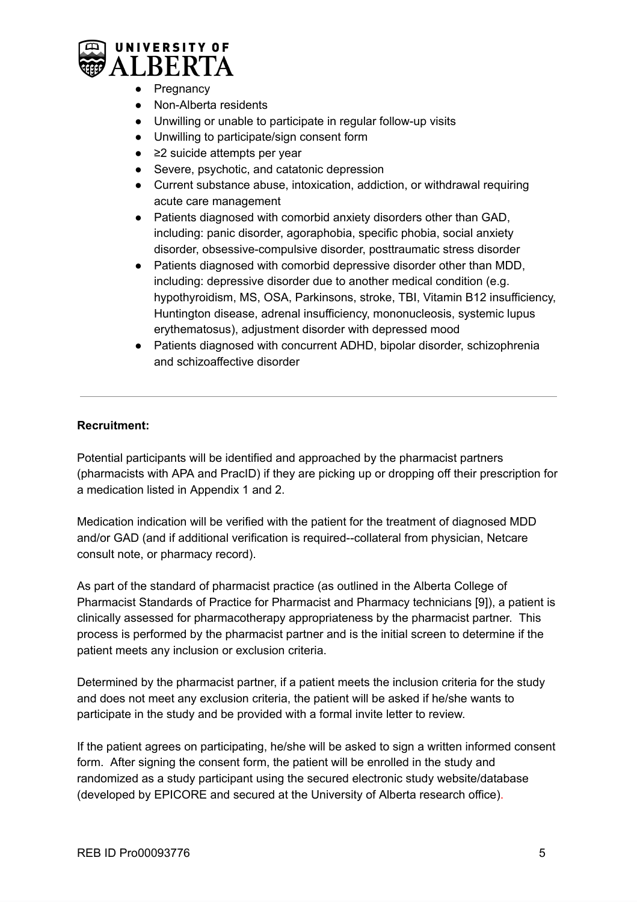

- Pregnancy
- Non-Alberta residents
- Unwilling or unable to participate in regular follow-up visits
- Unwilling to participate/sign consent form
- ≥2 suicide attempts per year
- Severe, psychotic, and catatonic depression
- Current substance abuse, intoxication, addiction, or withdrawal requiring acute care management
- Patients diagnosed with comorbid anxiety disorders other than GAD, including: panic disorder, agoraphobia, specific phobia, social anxiety disorder, obsessive-compulsive disorder, posttraumatic stress disorder
- Patients diagnosed with comorbid depressive disorder other than MDD, including: depressive disorder due to another medical condition (e.g. hypothyroidism, MS, OSA, Parkinsons, stroke, TBI, Vitamin B12 insufficiency, Huntington disease, adrenal insufficiency, mononucleosis, systemic lupus erythematosus), adjustment disorder with depressed mood
- Patients diagnosed with concurrent ADHD, bipolar disorder, schizophrenia and schizoaffective disorder

## **Recruitment:**

Potential participants will be identified and approached by the pharmacist partners (pharmacists with APA and PracID) if they are picking up or dropping off their prescription for a medication listed in Appendix 1 and 2.

Medication indication will be verified with the patient for the treatment of diagnosed MDD and/or GAD (and if additional verification is required--collateral from physician, Netcare consult note, or pharmacy record).

As part of the standard of pharmacist practice (as outlined in the Alberta College of Pharmacist Standards of Practice for Pharmacist and Pharmacy technicians [9]), a patient is clinically assessed for pharmacotherapy appropriateness by the pharmacist partner. This process is performed by the pharmacist partner and is the initial screen to determine if the patient meets any inclusion or exclusion criteria.

Determined by the pharmacist partner, if a patient meets the inclusion criteria for the study and does not meet any exclusion criteria, the patient will be asked if he/she wants to participate in the study and be provided with a formal invite letter to review.

If the patient agrees on participating, he/she will be asked to sign a written informed consent form. After signing the consent form, the patient will be enrolled in the study and randomized as a study participant using the secured electronic study website/database (developed by EPICORE and secured at the University of Alberta research office).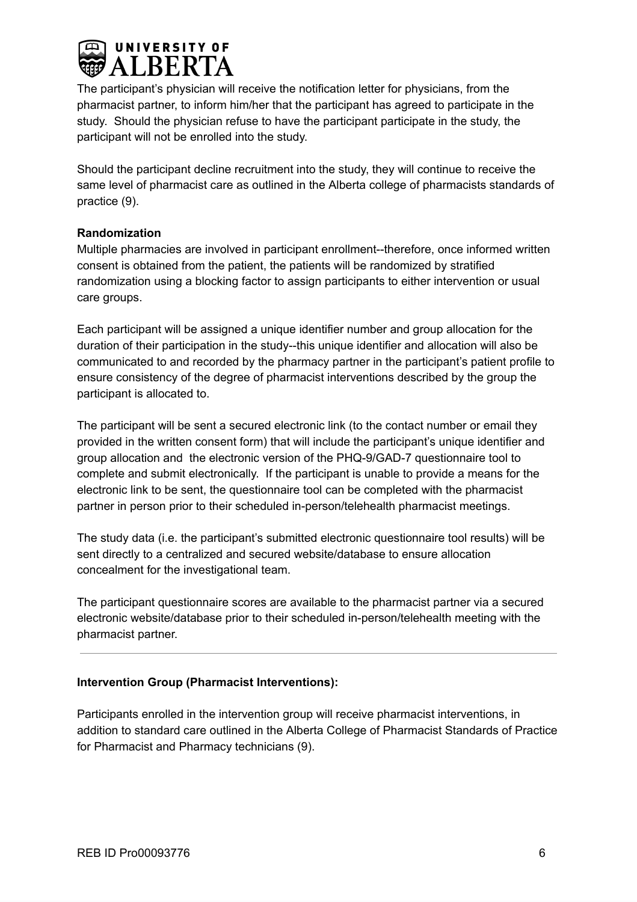

The participant's physician will receive the notification letter for physicians, from the pharmacist partner, to inform him/her that the participant has agreed to participate in the study. Should the physician refuse to have the participant participate in the study, the participant will not be enrolled into the study.

Should the participant decline recruitment into the study, they will continue to receive the same level of pharmacist care as outlined in the Alberta college of pharmacists standards of practice (9).

## **Randomization**

Multiple pharmacies are involved in participant enrollment--therefore, once informed written consent is obtained from the patient, the patients will be randomized by stratified randomization using a blocking factor to assign participants to either intervention or usual care groups.

Each participant will be assigned a unique identifier number and group allocation for the duration of their participation in the study--this unique identifier and allocation will also be communicated to and recorded by the pharmacy partner in the participant's patient profile to ensure consistency of the degree of pharmacist interventions described by the group the participant is allocated to.

The participant will be sent a secured electronic link (to the contact number or email they provided in the written consent form) that will include the participant's unique identifier and group allocation and the electronic version of the PHQ-9/GAD-7 questionnaire tool to complete and submit electronically. If the participant is unable to provide a means for the electronic link to be sent, the questionnaire tool can be completed with the pharmacist partner in person prior to their scheduled in-person/telehealth pharmacist meetings.

The study data (i.e. the participant's submitted electronic questionnaire tool results) will be sent directly to a centralized and secured website/database to ensure allocation concealment for the investigational team.

The participant questionnaire scores are available to the pharmacist partner via a secured electronic website/database prior to their scheduled in-person/telehealth meeting with the pharmacist partner.

## **Intervention Group (Pharmacist Interventions):**

Participants enrolled in the intervention group will receive pharmacist interventions, in addition to standard care outlined in the Alberta College of Pharmacist Standards of Practice for Pharmacist and Pharmacy technicians (9).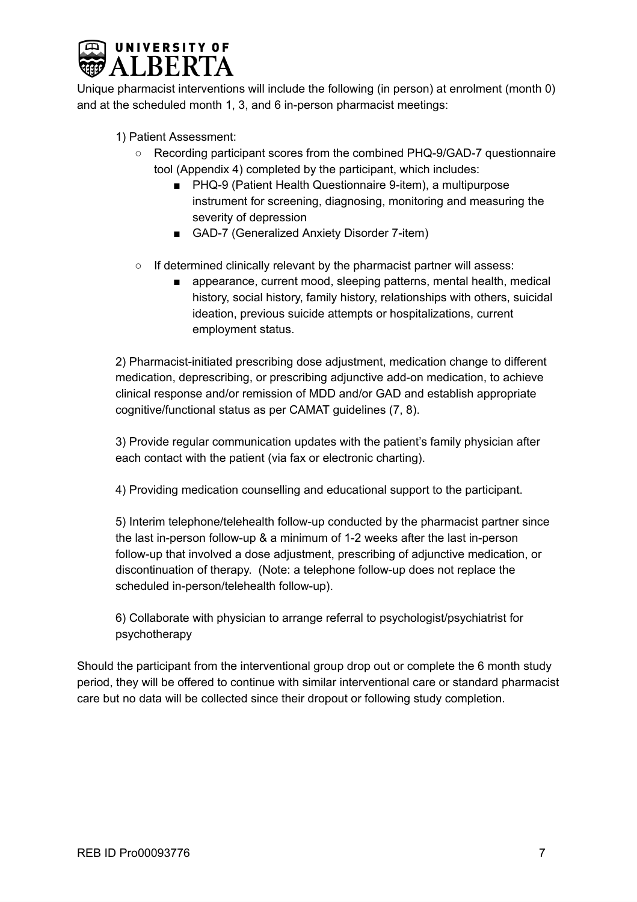

Unique pharmacist interventions will include the following (in person) at enrolment (month 0) and at the scheduled month 1, 3, and 6 in-person pharmacist meetings:

1) Patient Assessment:

- Recording participant scores from the combined PHQ-9/GAD-7 questionnaire tool (Appendix 4) completed by the participant, which includes:
	- PHQ-9 (Patient Health Questionnaire 9-item), a multipurpose instrument for screening, diagnosing, monitoring and measuring the severity of depression
	- GAD-7 (Generalized Anxiety Disorder 7-item)
- If determined clinically relevant by the pharmacist partner will assess:
	- appearance, current mood, sleeping patterns, mental health, medical history, social history, family history, relationships with others, suicidal ideation, previous suicide attempts or hospitalizations, current employment status.

2) Pharmacist-initiated prescribing dose adjustment, medication change to different medication, deprescribing, or prescribing adjunctive add-on medication, to achieve clinical response and/or remission of MDD and/or GAD and establish appropriate cognitive/functional status as per CAMAT guidelines (7, 8).

3) Provide regular communication updates with the patient's family physician after each contact with the patient (via fax or electronic charting).

4) Providing medication counselling and educational support to the participant.

5) Interim telephone/telehealth follow-up conducted by the pharmacist partner since the last in-person follow-up & a minimum of 1-2 weeks after the last in-person follow-up that involved a dose adjustment, prescribing of adjunctive medication, or discontinuation of therapy. (Note: a telephone follow-up does not replace the scheduled in-person/telehealth follow-up).

6) Collaborate with physician to arrange referral to psychologist/psychiatrist for psychotherapy

Should the participant from the interventional group drop out or complete the 6 month study period, they will be offered to continue with similar interventional care or standard pharmacist care but no data will be collected since their dropout or following study completion.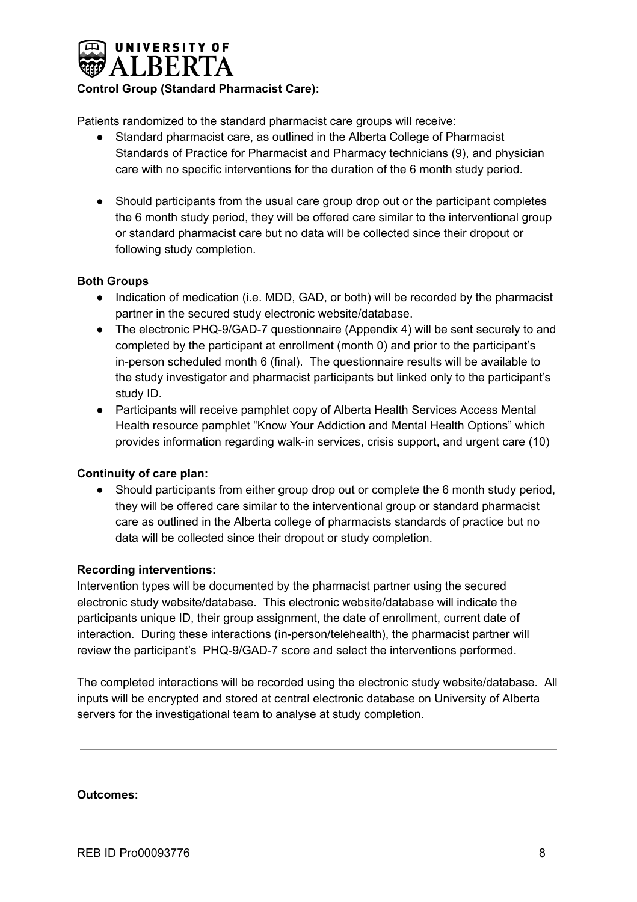

## **Control Group (Standard Pharmacist Care):**

Patients randomized to the standard pharmacist care groups will receive:

- Standard pharmacist care, as outlined in the Alberta College of Pharmacist Standards of Practice for Pharmacist and Pharmacy technicians (9), and physician care with no specific interventions for the duration of the 6 month study period.
- Should participants from the usual care group drop out or the participant completes the 6 month study period, they will be offered care similar to the interventional group or standard pharmacist care but no data will be collected since their dropout or following study completion.

## **Both Groups**

- Indication of medication (i.e. MDD, GAD, or both) will be recorded by the pharmacist partner in the secured study electronic website/database.
- The electronic PHQ-9/GAD-7 questionnaire (Appendix 4) will be sent securely to and completed by the participant at enrollment (month 0) and prior to the participant's in-person scheduled month 6 (final). The questionnaire results will be available to the study investigator and pharmacist participants but linked only to the participant's study ID.
- Participants will receive pamphlet copy of Alberta Health Services Access Mental Health resource pamphlet "Know Your Addiction and Mental Health Options" which provides information regarding walk-in services, crisis support, and urgent care (10)

## **Continuity of care plan:**

● Should participants from either group drop out or complete the 6 month study period, they will be offered care similar to the interventional group or standard pharmacist care as outlined in the Alberta college of pharmacists standards of practice but no data will be collected since their dropout or study completion.

## **Recording interventions:**

Intervention types will be documented by the pharmacist partner using the secured electronic study website/database. This electronic website/database will indicate the participants unique ID, their group assignment, the date of enrollment, current date of interaction. During these interactions (in-person/telehealth), the pharmacist partner will review the participant's PHQ-9/GAD-7 score and select the interventions performed.

The completed interactions will be recorded using the electronic study website/database. All inputs will be encrypted and stored at central electronic database on University of Alberta servers for the investigational team to analyse at study completion.

## **Outcomes:**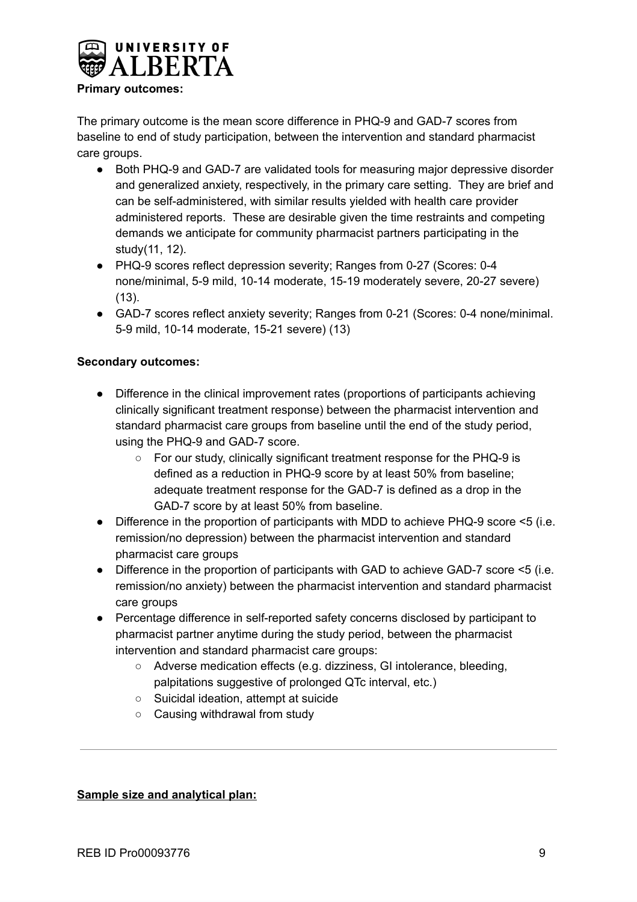

## **Primary outcomes:**

The primary outcome is the mean score difference in PHQ-9 and GAD-7 scores from baseline to end of study participation, between the intervention and standard pharmacist care groups.

- Both PHQ-9 and GAD-7 are validated tools for measuring major depressive disorder and generalized anxiety, respectively, in the primary care setting. They are brief and can be self-administered, with similar results yielded with health care provider administered reports. These are desirable given the time restraints and competing demands we anticipate for community pharmacist partners participating in the study(11, 12).
- PHQ-9 scores reflect depression severity; Ranges from 0-27 (Scores: 0-4 none/minimal, 5-9 mild, 10-14 moderate, 15-19 moderately severe, 20-27 severe) (13).
- GAD-7 scores reflect anxiety severity; Ranges from 0-21 (Scores: 0-4 none/minimal. 5-9 mild, 10-14 moderate, 15-21 severe) (13)

## **Secondary outcomes:**

- Difference in the clinical improvement rates (proportions of participants achieving clinically significant treatment response) between the pharmacist intervention and standard pharmacist care groups from baseline until the end of the study period, using the PHQ-9 and GAD-7 score.
	- For our study, clinically significant treatment response for the PHQ-9 is defined as a reduction in PHQ-9 score by at least 50% from baseline; adequate treatment response for the GAD-7 is defined as a drop in the GAD-7 score by at least 50% from baseline.
- Difference in the proportion of participants with MDD to achieve PHQ-9 score <5 (i.e. remission/no depression) between the pharmacist intervention and standard pharmacist care groups
- Difference in the proportion of participants with GAD to achieve GAD-7 score <5 (i.e. remission/no anxiety) between the pharmacist intervention and standard pharmacist care groups
- Percentage difference in self-reported safety concerns disclosed by participant to pharmacist partner anytime during the study period, between the pharmacist intervention and standard pharmacist care groups:
	- Adverse medication effects (e.g. dizziness, GI intolerance, bleeding, palpitations suggestive of prolonged QTc interval, etc.)
	- Suicidal ideation, attempt at suicide
	- Causing withdrawal from study

## **Sample size and analytical plan:**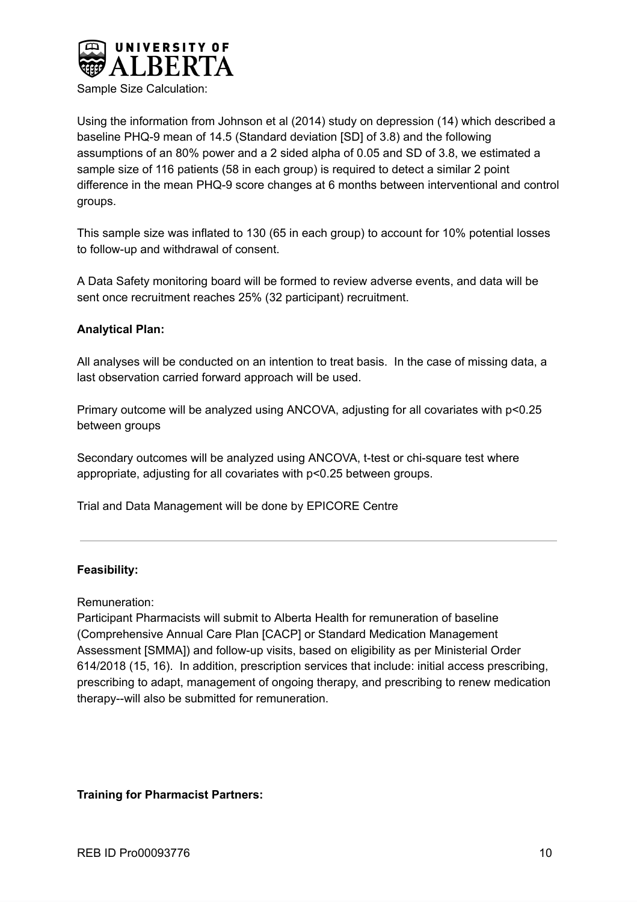

Sample Size Calculation:

Using the information from Johnson et al (2014) study on depression (14) which described a baseline PHQ-9 mean of 14.5 (Standard deviation [SD] of 3.8) and the following assumptions of an 80% power and a 2 sided alpha of 0.05 and SD of 3.8, we estimated a sample size of 116 patients (58 in each group) is required to detect a similar 2 point difference in the mean PHQ-9 score changes at 6 months between interventional and control groups.

This sample size was inflated to 130 (65 in each group) to account for 10% potential losses to follow-up and withdrawal of consent.

A Data Safety monitoring board will be formed to review adverse events, and data will be sent once recruitment reaches 25% (32 participant) recruitment.

## **Analytical Plan:**

All analyses will be conducted on an intention to treat basis. In the case of missing data, a last observation carried forward approach will be used.

Primary outcome will be analyzed using ANCOVA, adjusting for all covariates with p<0.25 between groups

Secondary outcomes will be analyzed using ANCOVA, t-test or chi-square test where appropriate, adjusting for all covariates with p<0.25 between groups.

Trial and Data Management will be done by EPICORE Centre

## **Feasibility:**

Remuneration:

Participant Pharmacists will submit to Alberta Health for remuneration of baseline (Comprehensive Annual Care Plan [CACP] or Standard Medication Management Assessment [SMMA]) and follow-up visits, based on eligibility as per Ministerial Order 614/2018 (15, 16). In addition, prescription services that include: initial access prescribing, prescribing to adapt, management of ongoing therapy, and prescribing to renew medication therapy--will also be submitted for remuneration.

## **Training for Pharmacist Partners:**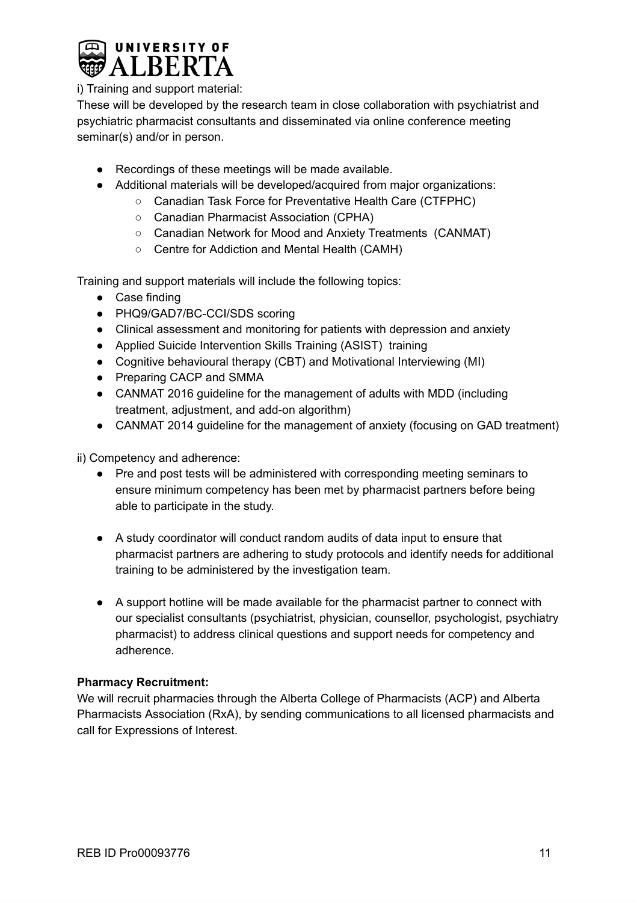

i) Training and support material:

These will be developed by the research team in close collaboration with psychiatrist and psychiatric pharmacist consultants and disseminated via online conference meeting seminar(s) and/or in person.

- Recordings of these meetings will be made available.
- Additional materials will be developed/acquired from major organizations:
	- Canadian Task Force for Preventative Health Care (CTFPHC)
		- Canadian Pharmacist Association (CPHA)
		- Canadian Network for Mood and Anxiety Treatments (CANMAT)
		- Centre for Addiction and Mental Health (CAMH)

Training and support materials will include the following topics:

- Case finding
- PHQ9/GAD7/BC-CCI/SDS scoring
- Clinical assessment and monitoring for patients with depression and anxiety
- Applied Suicide Intervention Skills Training (ASIST) training
- Cognitive behavioural therapy (CBT) and Motivational Interviewing (MI)
- Preparing CACP and SMMA
- CANMAT 2016 guideline for the management of adults with MDD (including treatment, adjustment, and add-on algorithm)
- CANMAT 2014 guideline for the management of anxiety (focusing on GAD treatment)

ii) Competency and adherence:

- Pre and post tests will be administered with corresponding meeting seminars to ensure minimum competency has been met by pharmacist partners before being able to participate in the study.
- A study coordinator will conduct random audits of data input to ensure that pharmacist partners are adhering to study protocols and identify needs for additional training to be administered by the investigation team.
- A support hotline will be made available for the pharmacist partner to connect with our specialist consultants (psychiatrist, physician, counsellor, psychologist, psychiatry pharmacist) to address clinical questions and support needs for competency and adherence.

## **Pharmacy Recruitment:**

We will recruit pharmacies through the Alberta College of Pharmacists (ACP) and Alberta Pharmacists Association (RxA), by sending communications to all licensed pharmacists and call for Expressions of Interest.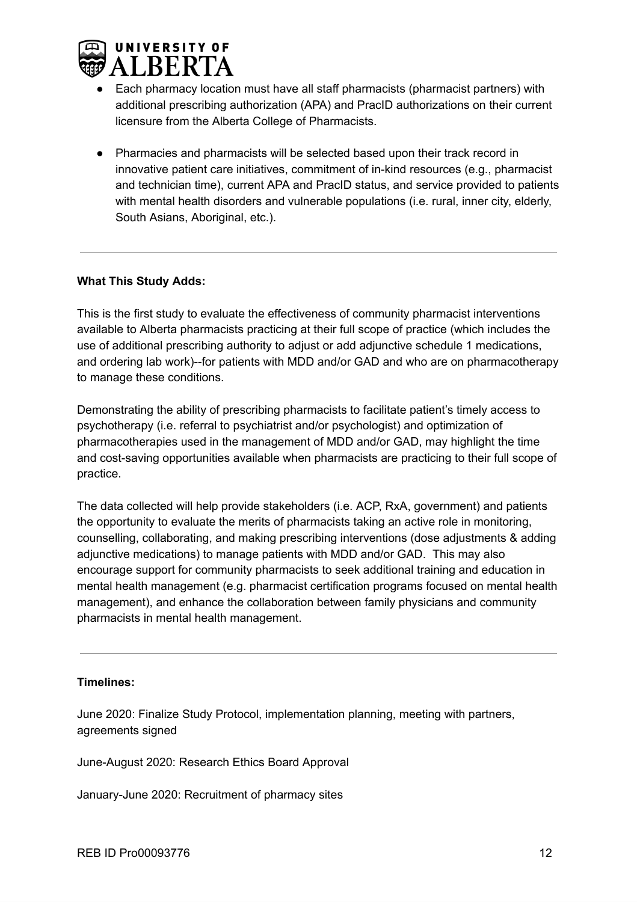

- Each pharmacy location must have all staff pharmacists (pharmacist partners) with additional prescribing authorization (APA) and PracID authorizations on their current licensure from the Alberta College of Pharmacists.
- Pharmacies and pharmacists will be selected based upon their track record in innovative patient care initiatives, commitment of in-kind resources (e.g., pharmacist and technician time), current APA and PracID status, and service provided to patients with mental health disorders and vulnerable populations (i.e. rural, inner city, elderly, South Asians, Aboriginal, etc.).

## **What This Study Adds:**

This is the first study to evaluate the effectiveness of community pharmacist interventions available to Alberta pharmacists practicing at their full scope of practice (which includes the use of additional prescribing authority to adjust or add adjunctive schedule 1 medications, and ordering lab work)--for patients with MDD and/or GAD and who are on pharmacotherapy to manage these conditions.

Demonstrating the ability of prescribing pharmacists to facilitate patient's timely access to psychotherapy (i.e. referral to psychiatrist and/or psychologist) and optimization of pharmacotherapies used in the management of MDD and/or GAD, may highlight the time and cost-saving opportunities available when pharmacists are practicing to their full scope of practice.

The data collected will help provide stakeholders (i.e. ACP, RxA, government) and patients the opportunity to evaluate the merits of pharmacists taking an active role in monitoring, counselling, collaborating, and making prescribing interventions (dose adjustments & adding adjunctive medications) to manage patients with MDD and/or GAD. This may also encourage support for community pharmacists to seek additional training and education in mental health management (e.g. pharmacist certification programs focused on mental health management), and enhance the collaboration between family physicians and community pharmacists in mental health management.

## **Timelines:**

June 2020: Finalize Study Protocol, implementation planning, meeting with partners, agreements signed

June-August 2020: Research Ethics Board Approval

January-June 2020: Recruitment of pharmacy sites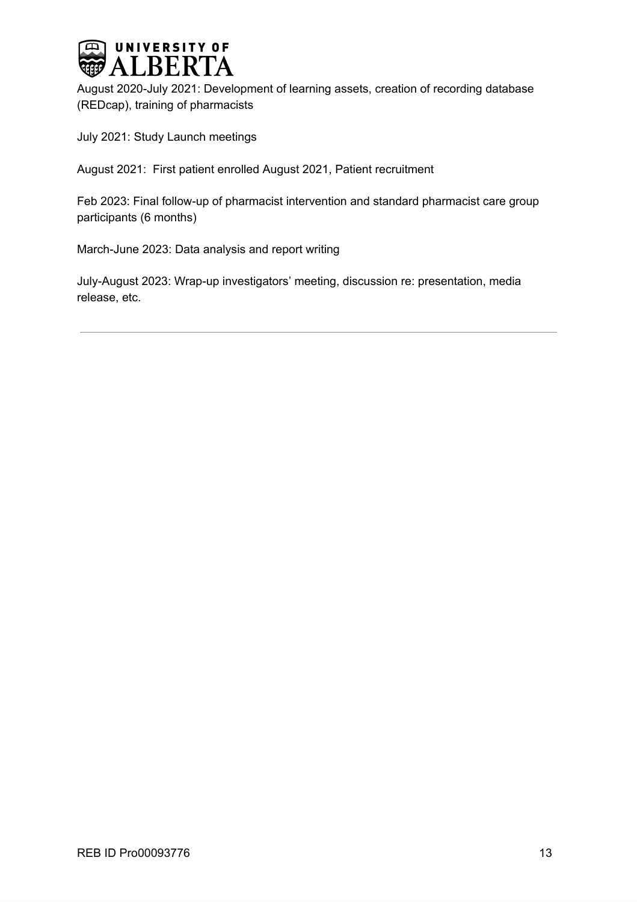

August 2020-July 2021: Development of learning assets, creation of recording database (REDcap), training of pharmacists

July 2021: Study Launch meetings

August 2021: First patient enrolled August 2021, Patient recruitment

Feb 2023: Final follow-up of pharmacist intervention and standard pharmacist care group participants (6 months)

March-June 2023: Data analysis and report writing

July-August 2023: Wrap-up investigators' meeting, discussion re: presentation, media release, etc.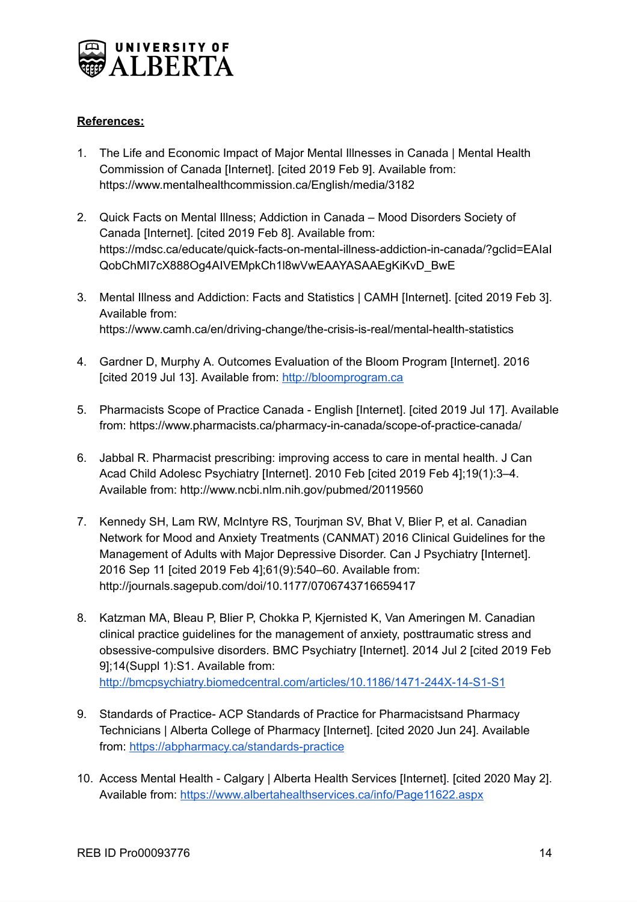

## **References:**

- 1. The Life and Economic Impact of Major Mental Illnesses in Canada | Mental Health Commission of Canada [Internet]. [cited 2019 Feb 9]. Available from: https://www.mentalhealthcommission.ca/English/media/3182
- 2. Quick Facts on Mental Illness; Addiction in Canada Mood Disorders Society of Canada [Internet]. [cited 2019 Feb 8]. Available from: https://mdsc.ca/educate/quick-facts-on-mental-illness-addiction-in-canada/?gclid=EAIaI QobChMI7cX888Og4AIVEMpkCh1l8wVwEAAYASAAEgKiKvD\_BwE
- 3. Mental Illness and Addiction: Facts and Statistics | CAMH [Internet]. [cited 2019 Feb 3]. Available from: https://www.camh.ca/en/driving-change/the-crisis-is-real/mental-health-statistics
- 4. Gardner D, Murphy A. Outcomes Evaluation of the Bloom Program [Internet]. 2016 [cited 2019 Jul 13]. Available from: [http://bloomprogram.ca](http://bloomprogram.ca/)
- 5. Pharmacists Scope of Practice Canada English [Internet]. [cited 2019 Jul 17]. Available from: https://www.pharmacists.ca/pharmacy-in-canada/scope-of-practice-canada/
- 6. Jabbal R. Pharmacist prescribing: improving access to care in mental health. J Can Acad Child Adolesc Psychiatry [Internet]. 2010 Feb [cited 2019 Feb 4];19(1):3–4. Available from: http://www.ncbi.nlm.nih.gov/pubmed/20119560
- 7. Kennedy SH, Lam RW, McIntyre RS, Tourjman SV, Bhat V, Blier P, et al. Canadian Network for Mood and Anxiety Treatments (CANMAT) 2016 Clinical Guidelines for the Management of Adults with Major Depressive Disorder. Can J Psychiatry [Internet]. 2016 Sep 11 [cited 2019 Feb 4];61(9):540–60. Available from: http://journals.sagepub.com/doi/10.1177/0706743716659417
- 8. Katzman MA, Bleau P, Blier P, Chokka P, Kjernisted K, Van Ameringen M. Canadian clinical practice guidelines for the management of anxiety, posttraumatic stress and obsessive-compulsive disorders. BMC Psychiatry [Internet]. 2014 Jul 2 [cited 2019 Feb 9];14(Suppl 1):S1. Available from: <http://bmcpsychiatry.biomedcentral.com/articles/10.1186/1471-244X-14-S1-S1>
- 9. Standards of Practice- ACP Standards of Practice for Pharmacistsand Pharmacy Technicians | Alberta College of Pharmacy [Internet]. [cited 2020 Jun 24]. Available from: <https://abpharmacy.ca/standards-practice>
- 10. Access Mental Health Calgary | Alberta Health Services [Internet]. [cited 2020 May 2]. Available from: <https://www.albertahealthservices.ca/info/Page11622.aspx>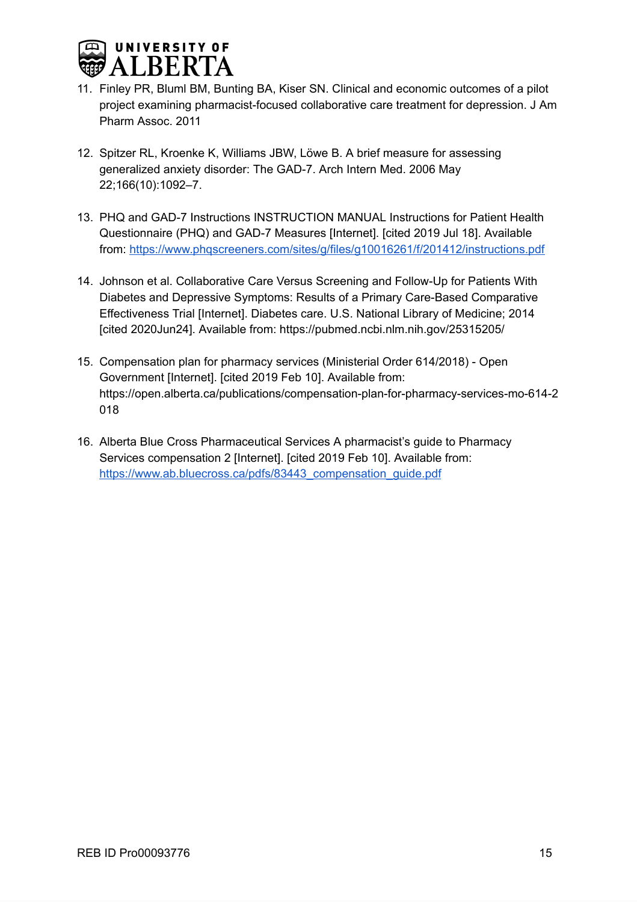

- 11. Finley PR, Bluml BM, Bunting BA, Kiser SN. Clinical and economic outcomes of a pilot project examining pharmacist-focused collaborative care treatment for depression. J Am Pharm Assoc. 2011
- 12. Spitzer RL, Kroenke K, Williams JBW, Löwe B. A brief measure for assessing generalized anxiety disorder: The GAD-7. Arch Intern Med. 2006 May 22;166(10):1092–7.
- 13. PHQ and GAD-7 Instructions INSTRUCTION MANUAL Instructions for Patient Health Questionnaire (PHQ) and GAD-7 Measures [Internet]. [cited 2019 Jul 18]. Available from: <https://www.phqscreeners.com/sites/g/files/g10016261/f/201412/instructions.pdf>
- 14. Johnson et al. Collaborative Care Versus Screening and Follow-Up for Patients With Diabetes and Depressive Symptoms: Results of a Primary Care-Based Comparative Effectiveness Trial [Internet]. Diabetes care. U.S. National Library of Medicine; 2014 [cited 2020Jun24]. Available from: https://pubmed.ncbi.nlm.nih.gov/25315205/
- 15. Compensation plan for pharmacy services (Ministerial Order 614/2018) Open Government [Internet]. [cited 2019 Feb 10]. Available from: https://open.alberta.ca/publications/compensation-plan-for-pharmacy-services-mo-614-2 018
- 16. Alberta Blue Cross Pharmaceutical Services A pharmacist's guide to Pharmacy Services compensation 2 [Internet]. [cited 2019 Feb 10]. Available from: [https://www.ab.bluecross.ca/pdfs/83443\\_compensation\\_guide.pdf](https://www.ab.bluecross.ca/pdfs/83443_compensation_guide.pdf)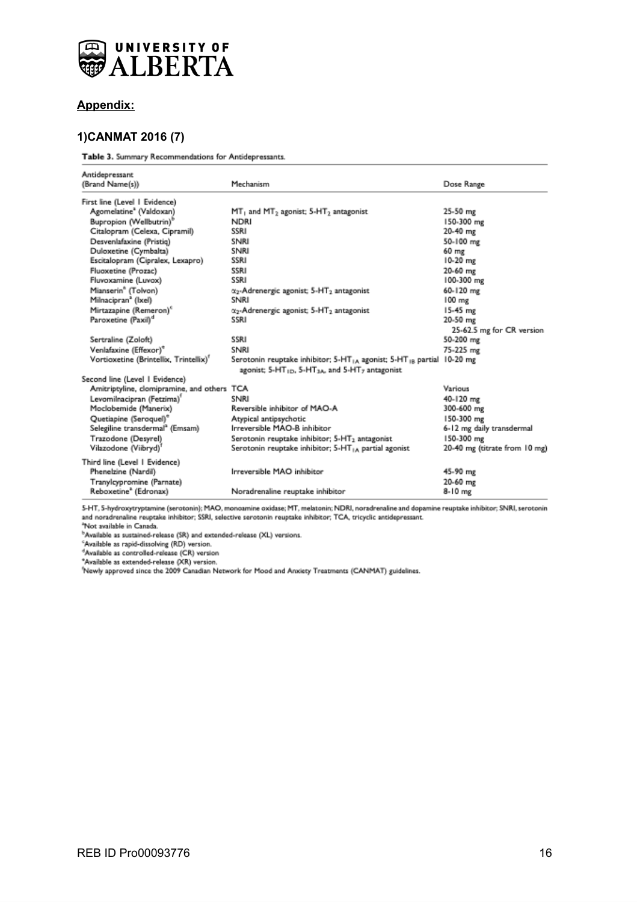

#### **Appendix:**

## **1)CANMAT 2016 (7)**

Table 3. Summary Recommendations for Antidepressants.

| Antidepressant                              |                                                                                               |                               |
|---------------------------------------------|-----------------------------------------------------------------------------------------------|-------------------------------|
| (Brand Name(s))                             | Mechanism                                                                                     | Dose Range                    |
| First line (Level   Evidence)               |                                                                                               |                               |
| Agomelatine <sup>3</sup> (Valdoxan)         | MT <sub>1</sub> and MT <sub>2</sub> agonist; 5-HT <sub>2</sub> antagonist                     | 25-50 mg                      |
| Bupropion (Wellbutrin)"                     | <b>NDRI</b>                                                                                   | 150-300 mg                    |
| Citalopram (Celexa, Cipramil)               | SSRI                                                                                          | 20-40 mg                      |
| Desvenlafaxine (Pristig)                    | SNRI                                                                                          | 50-100 mg                     |
| Duloxetine (Cymbalta)                       | SNRI                                                                                          | 60 mg                         |
| Escitalopram (Cipralex, Lexapro)            | SSRI                                                                                          | $10-20$ mg                    |
| Fluoxetine (Prozac)                         | SSRI                                                                                          | 20-60 mg                      |
| Fluvoxamine (Luvox)                         | SSRI                                                                                          | 100-300 mg                    |
| Mianserin <sup>®</sup> (Tolvon)             | x <sub>2</sub> -Adrenergic agonist; 5-HT <sub>2</sub> antagonist                              | 60-120 mg                     |
| Milnacipran <sup>a</sup> (Ixel)             | SNRI                                                                                          | 100 mg                        |
| Mirtazapine (Remeron) <sup>e</sup>          | $\alpha_2$ -Adrenergic agonist; 5-HT <sub>2</sub> antagonist                                  | $15 - 45$ mg                  |
| Paroxetine (Paxil) <sup>d</sup>             | SSRI                                                                                          | 20-50 mg                      |
|                                             |                                                                                               | 25-62.5 mg for CR version     |
| Sertraline (Zoloft)                         | SSRI                                                                                          | 50-200 mg                     |
| Venlafaxine (Effexor) <sup>e</sup>          | SNRI                                                                                          | 75-225 mg                     |
| Vortioxetine (Brintellix, Trintellix)'      | Serotonin reuptake inhibitor; 5-HT <sub>1A</sub> agonist; 5-HT <sub>1B</sub> partial 10-20 mg |                               |
|                                             | agonist; 5-HT <sub>1D</sub> , 5-HT <sub>3A</sub> , and 5-HT <sub>7</sub> antagonist           |                               |
| Second line (Level 1 Evidence)              |                                                                                               |                               |
| Amitriptyline, clomipramine, and others TCA |                                                                                               | Various                       |
| Levomilnacipran (Fetzima)'                  | SNRI                                                                                          | 40-120 mg                     |
| Moclobemide (Manerix)                       | Reversible inhibitor of MAO-A                                                                 | 300-600 mg                    |
| Quetiapine (Seroquel)"                      | Atypical antipsychotic                                                                        | 150-300 mg                    |
| Selegiline transdermal <sup>a</sup> (Emsam) | Irreversible MAO-B inhibitor                                                                  | 6-12 mg daily transdermal     |
| Trazodone (Desyrel)                         | Serotonin reuptake inhibitor; 5-HT <sub>2</sub> antagonist                                    | 150-300 mg                    |
| Vilazodone (Viibryd) <sup>1</sup>           | Serotonin reuptake inhibitor; 5-HT <sub>IA</sub> partial agonist                              | 20-40 mg (titrate from 10 mg) |
| Third line (Level 1 Evidence)               |                                                                                               |                               |
| Phenelzine (Nardil)                         | Irreversible MAO inhibitor                                                                    | 45-90 mg                      |
| Tranylcypromine (Parnate)                   |                                                                                               | 20-60 mg                      |
| Reboxetine <sup>2</sup> (Edronax)           | Noradrenaline reuptake inhibitor                                                              | 8-10 mg                       |

5-HT, 5-hydroxytryptamine (serotonin); MAO, monoamine oxidase; MT, melatonin; NDRI, noradrenaline and dopamine reuptake inhibitor; SNRI, serotonin and noradrenaline reuptake inhibitor; SSRI, selective serotonin reuptake inhibitor; TCA, tricyclic antidepressant.

"Not available in Canada.

<sup>b</sup>Available as sustained-release (SR) and extended-release (XL) versions.

<sup>c</sup>Available as rapid-dissolving (RD) version.

<sup>4</sup>Available as controlled-release (CR) version

"Available as extended-release (XR) version.

'Newly approved since the 2009 Canadian Network for Mood and Anxiety Treatments (CANMAT) guidelines.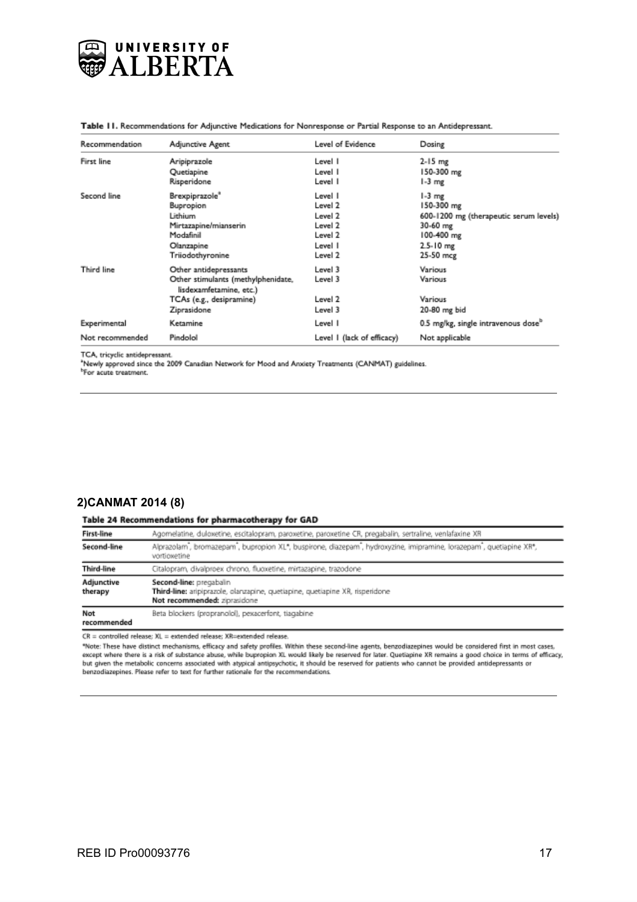

| Recommendation  | Adjunctive Agent                                              | Level of Evidence          | Dosing                                          |
|-----------------|---------------------------------------------------------------|----------------------------|-------------------------------------------------|
| First line      | Aripiprazole                                                  | Level I                    | 2-15 mg                                         |
|                 | Quetiapine                                                    | Level I                    | 150-300 mg                                      |
|                 | Risperidone                                                   | Level I                    | 1-3 mg                                          |
| Second line     | Brexpiprazole <sup>®</sup>                                    | Level I                    | 1-3 mg                                          |
|                 | Bupropion                                                     | Level 2                    | 150-300 mg                                      |
|                 | Lithium                                                       | Level 2                    | 600-1200 mg (therapeutic serum levels)          |
|                 | Mirtazapine/mianserin                                         | Level 2                    | 30-60 mg                                        |
|                 | Modafinil                                                     | Level 2                    | 100-400 mg                                      |
|                 | Olanzapine                                                    | Level I                    | 2.5-10 mg                                       |
|                 | Triiodothyronine                                              | Level 2                    | 25-50 mcg                                       |
| Third line      | Other antidepressants                                         | Level 3                    | Various                                         |
|                 | Other stimulants (methylphenidate,<br>lisdexamfetamine, etc.) | Level 3                    | Various                                         |
|                 | TCAs (e.g., desipramine)                                      | Level 2                    | Various                                         |
|                 | Ziprasidone                                                   | Level 3                    | 20-80 mg bid                                    |
| Experimental    | Ketamine                                                      | Level I                    | 0.5 mg/kg, single intravenous dose <sup>9</sup> |
| Not recommended | Pindolol                                                      | Level 1 (lack of efficacy) | Not applicable                                  |

Table 11. Recommendations for Adjunctive Medications for Nonresponse or Partial Response to an Antidepressant.

TCA, tricyclic antidepressant.

\*Newly approved since the 2009 Canadian Network for Mood and Anxiety Treatments (CANMAT) guidelines.

<sup>b</sup>For acute treatment.

#### **2)CANMAT 2014 (8)**

#### Table 24 Recommendations for pharmacotherapy for GAD

| <b>First-line</b>            | Agomelatine, duloxetine, escitalopram, paroxetine, paroxetine CR, pregabalin, sertraline, venlafaxine XR                                |
|------------------------------|-----------------------------------------------------------------------------------------------------------------------------------------|
| Second-line                  | Alprazolam, bromazepam, bupropion XL*, buspirone, diazepam, hydroxyzine, imipramine, lorazepam*, quetiapine XR*,<br>vortioxetine        |
| Third-line                   | Citalopram, divalproex chrono, fluoxetine, mirtazapine, trazodone                                                                       |
| <b>Adjunctive</b><br>therapy | Second-line: pregabalin<br>Third-line: aripiprazole, olarzapine, quetiapine, quetiapine XR, risperidone<br>Not recommended: ziprasidone |
| Not<br>recommended           | Beta blockers (propranolol), pexacerfont, tiagabine                                                                                     |

CR = controlled release; XL = extended release; XR=extended release.

"Note: These have distinct mechanisms, efficacy and safety profiles. Within these second-line agents, benzodiazepines would be considered first in most cases, except where there is a risk of substance abuse, while bupropion XL would likely be reserved for later. Quetiapine XR remains a good choice in terms of efficacy, but given the metabolic concerns associated with atypical antipsychotic, it should be reserved for patients who cannot be provided antidepressants or benzodiazepines. Please refer to text for further rationale for the recommendations.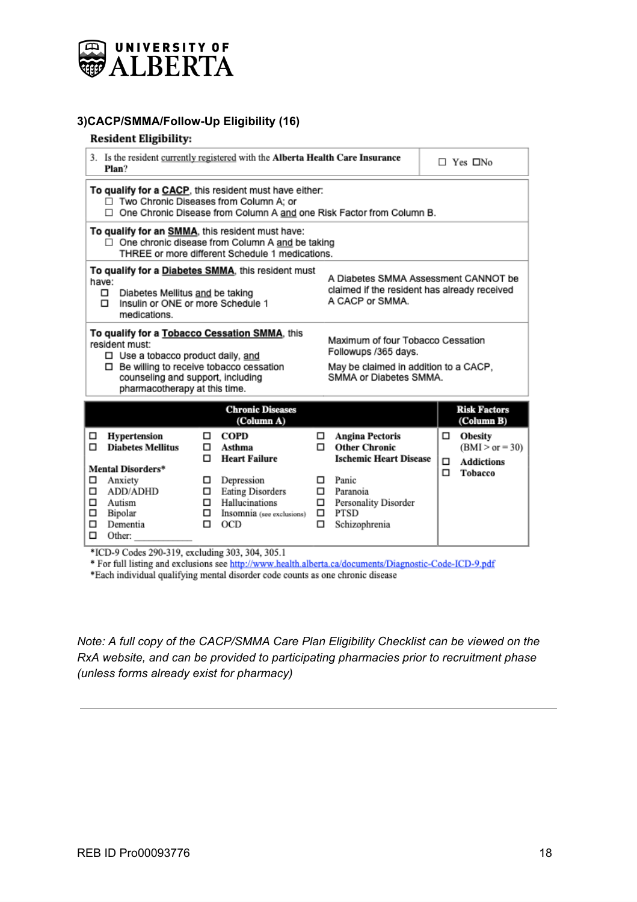

## **3)CACP/SMMA/Follow-Up Eligibility (16)**

#### **Resident Eligibility:**

| 3. Is the resident currently registered with the Alberta Health Care Insurance<br>Plan?                                                                                                                                                                                                                                                                  |                  |                                                                                                                                                     |                        | $\Box$ Yes $\Box$ No                                                                                                                                         |  |                  |                                                                            |
|----------------------------------------------------------------------------------------------------------------------------------------------------------------------------------------------------------------------------------------------------------------------------------------------------------------------------------------------------------|------------------|-----------------------------------------------------------------------------------------------------------------------------------------------------|------------------------|--------------------------------------------------------------------------------------------------------------------------------------------------------------|--|------------------|----------------------------------------------------------------------------|
| To qualify for a CACP, this resident must have either:<br>□ Two Chronic Diseases from Column A; or<br>$\Box$ One Chronic Disease from Column A and one Risk Factor from Column B.                                                                                                                                                                        |                  |                                                                                                                                                     |                        |                                                                                                                                                              |  |                  |                                                                            |
| To qualify for an SMMA, this resident must have:                                                                                                                                                                                                                                                                                                         |                  | One chronic disease from Column A and be taking<br>THREE or more different Schedule 1 medications.                                                  |                        |                                                                                                                                                              |  |                  |                                                                            |
| To qualify for a Diabetes SMMA, this resident must<br>A Diabetes SMMA Assessment CANNOT be<br>have:<br>claimed if the resident has already received<br>$\Box$<br>Diabetes Mellitus and be taking<br>A CACP or SMMA.<br>Insulin or ONE or more Schedule 1<br>$\Box$<br>medications.                                                                       |                  |                                                                                                                                                     |                        |                                                                                                                                                              |  |                  |                                                                            |
| To qualify for a Tobacco Cessation SMMA, this<br>Maximum of four Tobacco Cessation<br>resident must:<br>Followups /365 days.<br>□ Use a tobacco product daily, and<br>□ Be willing to receive tobacco cessation<br>May be claimed in addition to a CACP,<br>SMMA or Diabetes SMMA.<br>counseling and support, including<br>pharmacotherapy at this time. |                  |                                                                                                                                                     |                        |                                                                                                                                                              |  |                  |                                                                            |
|                                                                                                                                                                                                                                                                                                                                                          |                  | <b>Chronic Diseases</b><br>(Column A)                                                                                                               |                        |                                                                                                                                                              |  |                  | <b>Risk Factors</b><br>(Column B)                                          |
| Hypertension<br>□<br><b>Diabetes Mellitus</b><br>п<br>Mental Disorders*<br>Anxiety<br>□<br>ADD/ADHD<br>□<br>□<br>Autism<br>□<br>Bipolar<br>Dementia<br>□<br>□<br>Other:                                                                                                                                                                                  | п<br>□<br>□<br>□ | COPD<br>Asthma<br><b>Heart Failure</b><br>Depression<br><b>Eating Disorders</b><br>$\Box$ Hallucinations<br>$\Box$ Insomnia (see exclusions)<br>OCD | □<br>п.<br>□<br>□<br>□ | <b>Angina Pectoris</b><br><b>Other Chronic</b><br><b>Ischemic Heart Disease</b><br>Panic<br>Paranoia<br>Personality Disorder<br><b>PTSD</b><br>Schizophrenia |  | $\Box$<br>□<br>α | <b>Obesity</b><br>$(BMI > or = 30)$<br><b>Addictions</b><br><b>Tobacco</b> |
| \$3000, 0.01 - 000, 010                                                                                                                                                                                                                                                                                                                                  |                  | $1.11 - 202 - 204 - 2051$                                                                                                                           |                        |                                                                                                                                                              |  |                  |                                                                            |

\*ICD-9 Codes 290-319, excluding 303, 304, 305.1

\* For full listing and exclusions see http://www.health.alberta.ca/documents/Diagnostic-Code-ICD-9.pdf

\*Each individual qualifying mental disorder code counts as one chronic disease

*Note: A full copy of the CACP/SMMA Care Plan Eligibility Checklist can be viewed on the RxA website, and can be provided to participating pharmacies prior to recruitment phase (unless forms already exist for pharmacy)*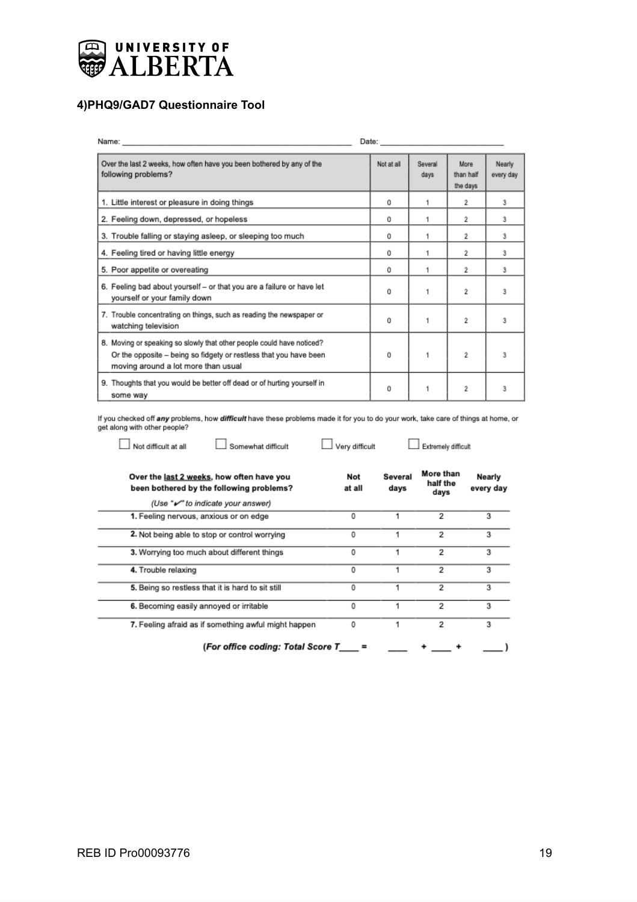

Not difficult at all

 $\overline{a}$ 

 $\overline{a}$ 

# **4)PHQ9/GAD7 Questionnaire Tool**

|                                                                                                                                                                                   | Date: and the control of the control of the control of the control of the control of the control of the control of the control of the control of the control of the control of the control of the control of the control of th |                 |                               |                     |
|-----------------------------------------------------------------------------------------------------------------------------------------------------------------------------------|--------------------------------------------------------------------------------------------------------------------------------------------------------------------------------------------------------------------------------|-----------------|-------------------------------|---------------------|
| Over the last 2 weeks, how often have you been bothered by any of the<br>following problems?                                                                                      | Not at all                                                                                                                                                                                                                     | Several<br>days | More<br>than half<br>the days | Nearly<br>every day |
| 1. Little interest or pleasure in doing things                                                                                                                                    | 0                                                                                                                                                                                                                              | 1               | 2                             | 3                   |
| 2. Feeling down, depressed, or hopeless                                                                                                                                           | 0                                                                                                                                                                                                                              | 1               | $\bar{z}$                     | 3                   |
| 3. Trouble falling or staying asleep, or sleeping too much                                                                                                                        | 0                                                                                                                                                                                                                              |                 | $\bar{z}$                     | 3                   |
| 4. Feeling tired or having little energy                                                                                                                                          | 0                                                                                                                                                                                                                              | 1               | $\bar{z}$                     | 3                   |
| 5. Poor appetite or overeating                                                                                                                                                    | 0                                                                                                                                                                                                                              |                 | 2                             | 3                   |
| 6. Feeling bad about yourself - or that you are a failure or have let<br>yourself or your family down                                                                             | 0                                                                                                                                                                                                                              |                 | 2                             | 3                   |
| 7. Trouble concentrating on things, such as reading the newspaper or<br>watching television                                                                                       | Ű                                                                                                                                                                                                                              | 1               | $\bar{2}$                     | 3                   |
| 8. Moving or speaking so slowly that other people could have noticed?<br>Or the opposite - being so fidgety or restless that you have been<br>moving around a lot more than usual | 0                                                                                                                                                                                                                              | 1               | 2                             | 3                   |
| 9. Thoughts that you would be better off dead or of hurting yourself in<br>some way                                                                                               | 0                                                                                                                                                                                                                              |                 | 2                             | 3                   |

If you checked off any problems, how difficult have these problems made it for you to do your work, take care of things at home, or<br>get along with other people?

 $\Box$  Very difficult

Somewhat difficult

 $\Box$  Extremely difficult

| Over the last 2 weeks, how often have you<br>been bothered by the following problems? | Not<br>at all | Several<br>days | More than<br>half the<br>days | Nearly<br>every day |
|---------------------------------------------------------------------------------------|---------------|-----------------|-------------------------------|---------------------|
| (Use "v" to indicate your answer)                                                     |               |                 |                               |                     |
| 1. Feeling nervous, anxious or on edge                                                | 0             |                 | 2                             | 3                   |
| 2. Not being able to stop or control worrying                                         | 0             |                 | 2                             | 3                   |
| 3. Worrying too much about different things                                           | 0             |                 | 2                             | 3                   |
| 4. Trouble relaxing                                                                   | 0             |                 | 2                             | 3                   |
| 5. Being so restless that it is hard to sit still                                     | 0             |                 | 2                             | 3                   |
| 6. Becoming easily annoyed or irritable                                               | 0             |                 | 2                             | 3                   |
| 7. Feeling afraid as if something awful might happen                                  | 0             |                 | 2                             | 3                   |
| (For office codina: Total Score T                                                     | ▬             |                 |                               |                     |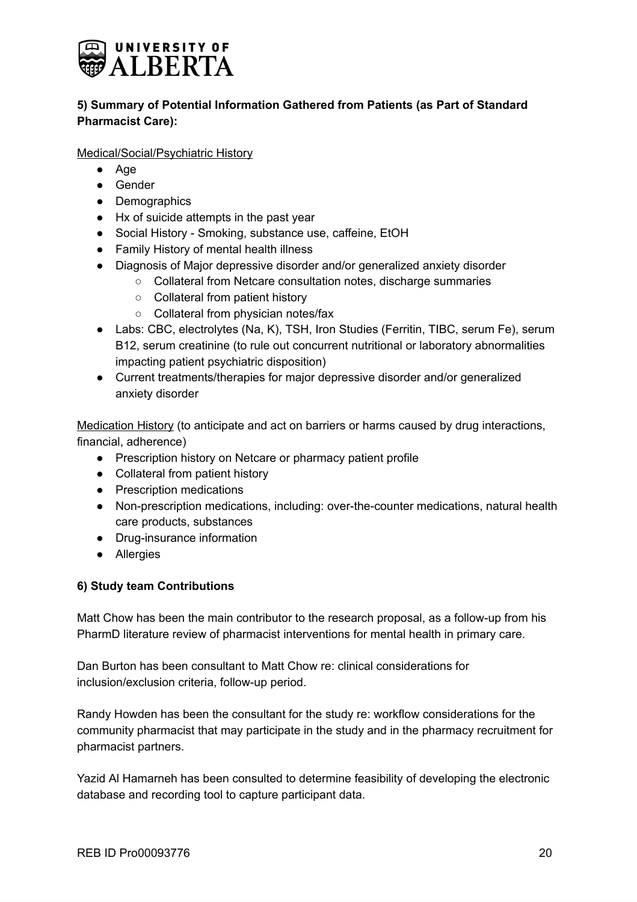

# **5) Summary of Potential Information Gathered from Patients (as Part of Standard Pharmacist Care):**

Medical/Social/Psychiatric History

- Age
- Gender
- Demographics
- Hx of suicide attempts in the past year
- Social History Smoking, substance use, caffeine, EtOH
- Family History of mental health illness
- Diagnosis of Major depressive disorder and/or generalized anxiety disorder
	- Collateral from Netcare consultation notes, discharge summaries
	- Collateral from patient history
	- Collateral from physician notes/fax
- Labs: CBC, electrolytes (Na, K), TSH, Iron Studies (Ferritin, TIBC, serum Fe), serum B12, serum creatinine (to rule out concurrent nutritional or laboratory abnormalities impacting patient psychiatric disposition)
- Current treatments/therapies for major depressive disorder and/or generalized anxiety disorder

Medication History (to anticipate and act on barriers or harms caused by drug interactions, financial, adherence)

- Prescription history on Netcare or pharmacy patient profile
- Collateral from patient history
- Prescription medications
- Non-prescription medications, including: over-the-counter medications, natural health care products, substances
- Drug-insurance information
- Allergies

## **6) Study team Contributions**

Matt Chow has been the main contributor to the research proposal, as a follow-up from his PharmD literature review of pharmacist interventions for mental health in primary care.

Dan Burton has been consultant to Matt Chow re: clinical considerations for inclusion/exclusion criteria, follow-up period.

Randy Howden has been the consultant for the study re: workflow considerations for the community pharmacist that may participate in the study and in the pharmacy recruitment for pharmacist partners.

Yazid Al Hamarneh has been consulted to determine feasibility of developing the electronic database and recording tool to capture participant data.